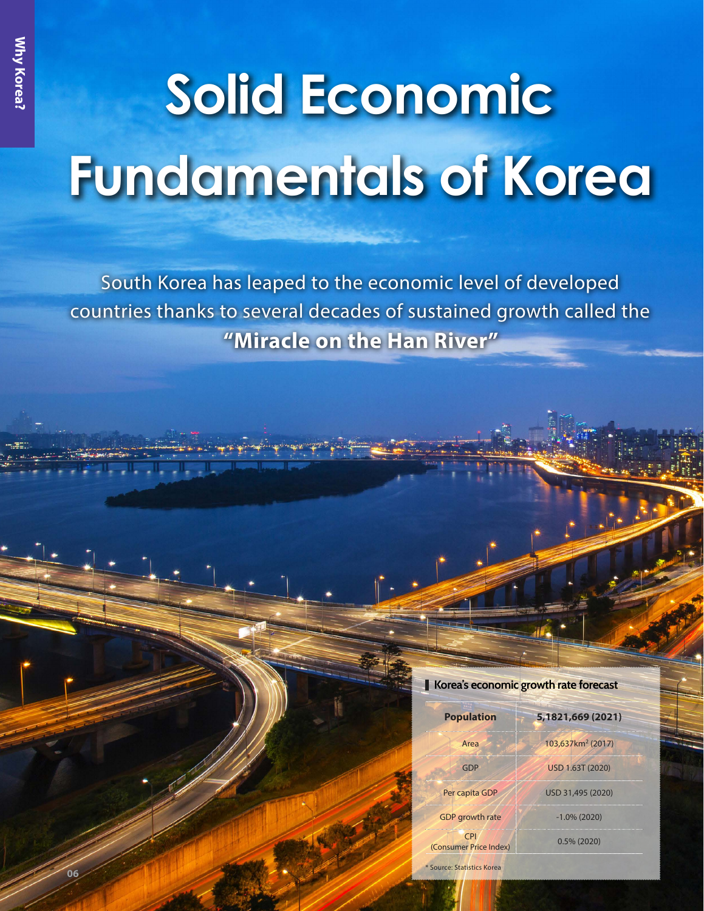**06**

## **Solid Economic Fundamentals of Korea**

South Korea has leaped to the economic level of developed countries thanks to several decades of sustained growth called the **"Miracle on the Han River"** 

## **Korea's economic growth rate forecast**

| <b>Population</b>             | 5,1821,669 (2021)             |
|-------------------------------|-------------------------------|
| Area                          | 103,637km <sup>2</sup> (2017) |
| GDP                           | USD 1.63T (2020)              |
| Per capita GDP                | USD 31,495 (2020)             |
| GDP growth rate               | $-1.0\%$ (2020)               |
| CPI<br>(Consumer Price Index) | $0.5\%$ (2020)                |

\* Source: Statistics Korea